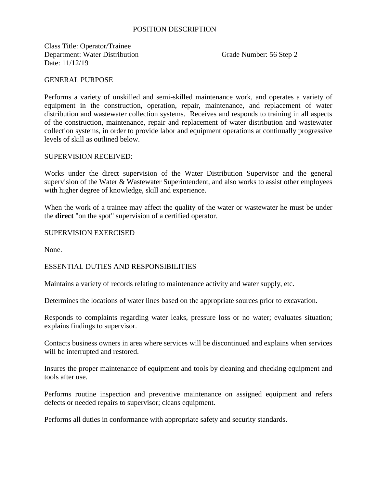# POSITION DESCRIPTION

Class Title: Operator/Trainee Department: Water Distribution Grade Number: 56 Step 2 Date: 11/12/19

### GENERAL PURPOSE

Performs a variety of unskilled and semi-skilled maintenance work, and operates a variety of equipment in the construction, operation, repair, maintenance, and replacement of water distribution and wastewater collection systems. Receives and responds to training in all aspects of the construction, maintenance, repair and replacement of water distribution and wastewater collection systems, in order to provide labor and equipment operations at continually progressive levels of skill as outlined below.

#### SUPERVISION RECEIVED:

Works under the direct supervision of the Water Distribution Supervisor and the general supervision of the Water & Wastewater Superintendent, and also works to assist other employees with higher degree of knowledge, skill and experience.

When the work of a trainee may affect the quality of the water or wastewater he must be under the **direct** "on the spot" supervision of a certified operator.

#### SUPERVISION EXERCISED

None.

## ESSENTIAL DUTIES AND RESPONSIBILITIES

Maintains a variety of records relating to maintenance activity and water supply, etc.

Determines the locations of water lines based on the appropriate sources prior to excavation.

Responds to complaints regarding water leaks, pressure loss or no water; evaluates situation; explains findings to supervisor.

Contacts business owners in area where services will be discontinued and explains when services will be interrupted and restored.

Insures the proper maintenance of equipment and tools by cleaning and checking equipment and tools after use.

Performs routine inspection and preventive maintenance on assigned equipment and refers defects or needed repairs to supervisor; cleans equipment.

Performs all duties in conformance with appropriate safety and security standards.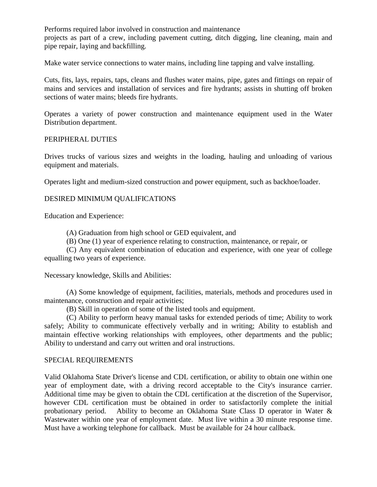Performs required labor involved in construction and maintenance projects as part of a crew, including pavement cutting, ditch digging, line cleaning, main and pipe repair, laying and backfilling.

Make water service connections to water mains, including line tapping and valve installing.

Cuts, fits, lays, repairs, taps, cleans and flushes water mains, pipe, gates and fittings on repair of mains and services and installation of services and fire hydrants; assists in shutting off broken sections of water mains; bleeds fire hydrants.

Operates a variety of power construction and maintenance equipment used in the Water Distribution department.

### PERIPHERAL DUTIES

Drives trucks of various sizes and weights in the loading, hauling and unloading of various equipment and materials.

Operates light and medium-sized construction and power equipment, such as backhoe/loader.

# DESIRED MINIMUM QUALIFICATIONS

Education and Experience:

(A) Graduation from high school or GED equivalent, and

(B) One (1) year of experience relating to construction, maintenance, or repair, or

(C) Any equivalent combination of education and experience, with one year of college equalling two years of experience.

Necessary knowledge, Skills and Abilities:

(A) Some knowledge of equipment, facilities, materials, methods and procedures used in maintenance, construction and repair activities;

(B) Skill in operation of some of the listed tools and equipment.

(C) Ability to perform heavy manual tasks for extended periods of time; Ability to work safely; Ability to communicate effectively verbally and in writing; Ability to establish and maintain effective working relationships with employees, other departments and the public; Ability to understand and carry out written and oral instructions.

### SPECIAL REQUIREMENTS

Valid Oklahoma State Driver's license and CDL certification, or ability to obtain one within one year of employment date, with a driving record acceptable to the City's insurance carrier. Additional time may be given to obtain the CDL certification at the discretion of the Supervisor, however CDL certification must be obtained in order to satisfactorily complete the initial probationary period. Ability to become an Oklahoma State Class D operator in Water & Wastewater within one year of employment date. Must live within a 30 minute response time. Must have a working telephone for callback. Must be available for 24 hour callback.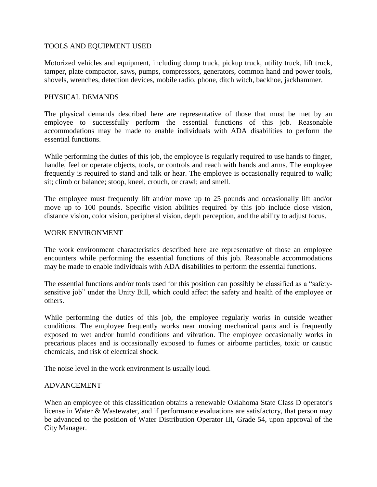# TOOLS AND EQUIPMENT USED

Motorized vehicles and equipment, including dump truck, pickup truck, utility truck, lift truck, tamper, plate compactor, saws, pumps, compressors, generators, common hand and power tools, shovels, wrenches, detection devices, mobile radio, phone, ditch witch, backhoe, jackhammer.

# PHYSICAL DEMANDS

The physical demands described here are representative of those that must be met by an employee to successfully perform the essential functions of this job. Reasonable accommodations may be made to enable individuals with ADA disabilities to perform the essential functions.

While performing the duties of this job, the employee is regularly required to use hands to finger, handle, feel or operate objects, tools, or controls and reach with hands and arms. The employee frequently is required to stand and talk or hear. The employee is occasionally required to walk; sit; climb or balance; stoop, kneel, crouch, or crawl; and smell.

The employee must frequently lift and/or move up to 25 pounds and occasionally lift and/or move up to 100 pounds. Specific vision abilities required by this job include close vision, distance vision, color vision, peripheral vision, depth perception, and the ability to adjust focus.

### WORK ENVIRONMENT

The work environment characteristics described here are representative of those an employee encounters while performing the essential functions of this job. Reasonable accommodations may be made to enable individuals with ADA disabilities to perform the essential functions.

The essential functions and/or tools used for this position can possibly be classified as a "safetysensitive job" under the Unity Bill, which could affect the safety and health of the employee or others.

While performing the duties of this job, the employee regularly works in outside weather conditions. The employee frequently works near moving mechanical parts and is frequently exposed to wet and/or humid conditions and vibration. The employee occasionally works in precarious places and is occasionally exposed to fumes or airborne particles, toxic or caustic chemicals, and risk of electrical shock.

The noise level in the work environment is usually loud.

# ADVANCEMENT

When an employee of this classification obtains a renewable Oklahoma State Class D operator's license in Water & Wastewater, and if performance evaluations are satisfactory, that person may be advanced to the position of Water Distribution Operator III, Grade 54, upon approval of the City Manager.